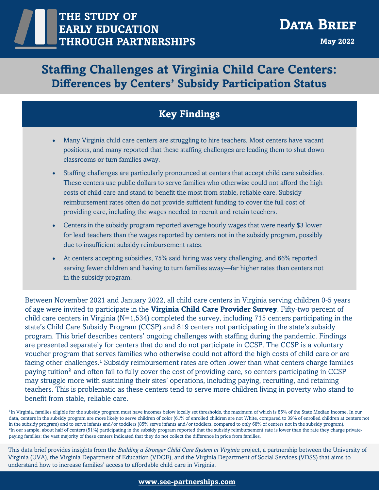# **Staffing Challenges at Virginia Child Care Centers: Differences by Centers' Subsidy Participation Status**

### **Key Findings**

- Many Virginia child care centers are struggling to hire teachers. Most centers have vacant positions, and many reported that these staffing challenges are leading them to shut down classrooms or turn families away.
- Staffing challenges are particularly pronounced at centers that accept child care subsidies. These centers use public dollars to serve families who otherwise could not afford the high costs of child care and stand to benefit the most from stable, reliable care. Subsidy reimbursement rates often do not provide sufficient funding to cover the full cost of providing care, including the wages needed to recruit and retain teachers.
- Centers in the subsidy program reported average hourly wages that were nearly \$3 lower for lead teachers than the wages reported by centers not in the subsidy program, possibly due to insufficient subsidy reimbursement rates.
- At centers accepting subsidies, 75% said hiring was very challenging, and 66% reported serving fewer children and having to turn families away—far higher rates than centers not in the subsidy program.

Between November 2021 and January 2022, all child care centers in Virginia serving children 0-5 years of age were invited to participate in the **Virginia Child Care Provider Survey**. Fifty-two percent of child care centers in Virginia (N=1,534) completed the survey, including 715 centers participating in the state's Child Care Subsidy Program (CCSP) and 819 centers not participating in the state's subsidy program. This brief describes centers' ongoing challenges with staffing during the pandemic. Findings are presented separately for centers that do and do not participate in CCSP. The CCSP is a voluntary voucher program that serves families who otherwise could not afford the high costs of child care or are facing other challenges.**<sup>1</sup>** Subsidy reimbursement rates are often lower than what centers charge families paying tuition**<sup>2</sup>** and often fail to fully cover the cost of providing care, so centers participating in CCSP may struggle more with sustaining their sites' operations, including paying, recruiting, and retaining teachers. This is problematic as these centers tend to serve more children living in poverty who stand to benefit from stable, reliable care.

<sup>1</sup>In Virginia, families eligible for the subsidy program must have incomes below locally set thresholds, the maximum of which is 85% of the State Median Income. In our data, centers in the subsidy program are more likely to serve children of color (61% of enrolled children are not White, compared to 39% of enrolled children at centers not in the subsidy program) and to serve infants and/or toddlers (85% serve infants and/or toddlers, compared to only 68% of centers not in the subsidy program). <sup>2</sup>In our sample, about half of centers (51%) participating in the subsidy program reported that the subsidy reimbursement rate is lower than the rate they charge privatepaying families; the vast majority of these centers indicated that they do not collect the difference in price from families.

This data brief provides insights from the *Building a Stronger Child Care System in Virginia* project, a partnership between the University of Virginia (UVA), the Virginia Department of Education (VDOE), and the Virginia Department of Social Services (VDSS) that aims to understand how to increase families' access to affordable child care in Virginia.

#### **www.see-[partnerships.com](https://www.see-partnerships.com/)**

1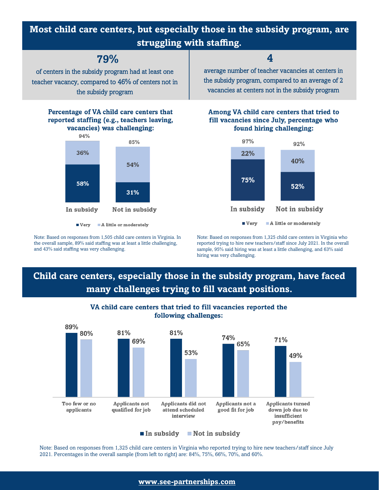## **Most child care centers, but especially those in the subsidy program, are struggling with staffing.**

**79%**

of centers in the subsidy program had at least one teacher vacancy, compared to 46% of centers not in the subsidy program

#### Percentage of VA child care centers that reported staffing (e.g., teachers leaving, vacancies) was challenging:



Very A little or moderately

Note: Based on responses from 1,505 child care centers in Virginia. In the overall sample, 89% said staffing was at least a little challenging, and 43% said staffing was very challenging.

### **4**

average number of teacher vacancies at centers in the subsidy program, compared to an average of 2 vacancies at centers not in the subsidy program

#### Among VA child care centers that tried to fill vacancies since July, percentage who found hiring challenging:



Note: Based on responses from 1,325 child care centers in Virginia who reported trying to hire new teachers/staff since July 2021. In the overall sample, 95% said hiring was at least a little challenging, and 63% said hiring was very challenging.

## **Child care centers, especially those in the subsidy program, have faced many challenges trying to fill vacant positions.**



#### VA child care centers that tried to fill vacancies reported the following challenges:

 $\blacksquare$  In subsidy  $\blacksquare$  Not in subsidy

Note: Based on responses from 1,325 child care centers in Virginia who reported trying to hire new teachers/staff since July 2021. Percentages in the overall sample (from left to right) are: 84%, 75%, 66%, 70%, and 60%.